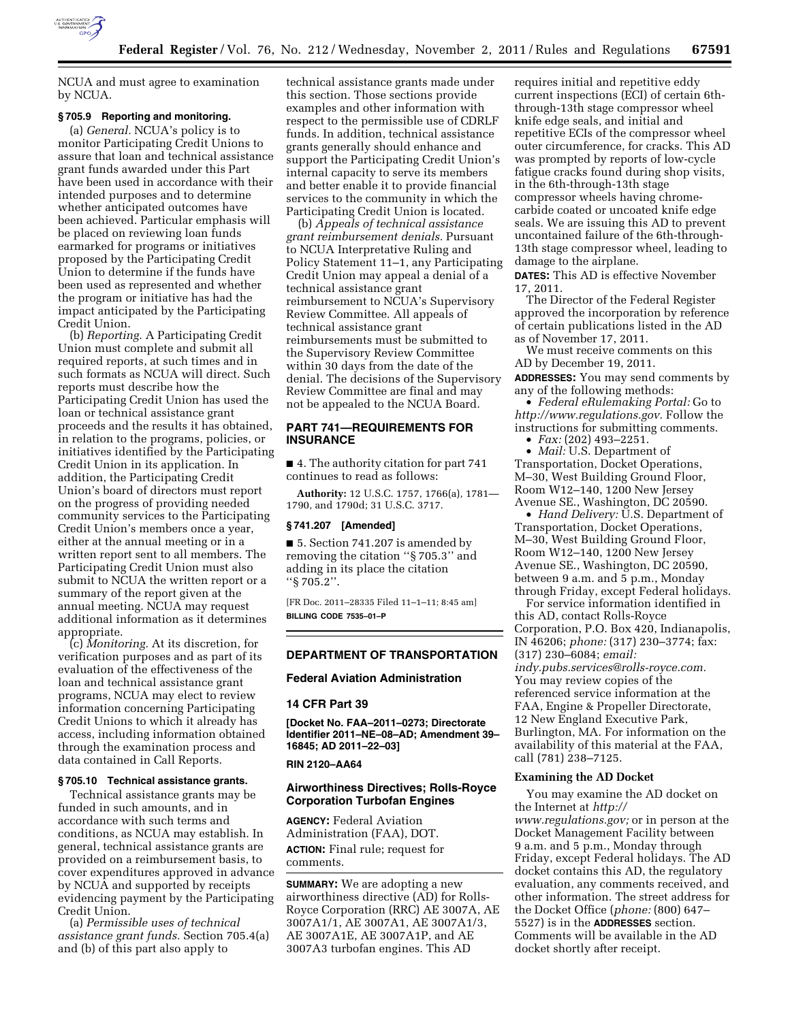

NCUA and must agree to examination by NCUA.

### **§ 705.9 Reporting and monitoring.**

(a) *General.* NCUA's policy is to monitor Participating Credit Unions to assure that loan and technical assistance grant funds awarded under this Part have been used in accordance with their intended purposes and to determine whether anticipated outcomes have been achieved. Particular emphasis will be placed on reviewing loan funds earmarked for programs or initiatives proposed by the Participating Credit Union to determine if the funds have been used as represented and whether the program or initiative has had the impact anticipated by the Participating Credit Union.

(b) *Reporting.* A Participating Credit Union must complete and submit all required reports, at such times and in such formats as NCUA will direct. Such reports must describe how the Participating Credit Union has used the loan or technical assistance grant proceeds and the results it has obtained, in relation to the programs, policies, or initiatives identified by the Participating Credit Union in its application. In addition, the Participating Credit Union's board of directors must report on the progress of providing needed community services to the Participating Credit Union's members once a year, either at the annual meeting or in a written report sent to all members. The Participating Credit Union must also submit to NCUA the written report or a summary of the report given at the annual meeting. NCUA may request additional information as it determines appropriate.

(c) *Monitoring.* At its discretion, for verification purposes and as part of its evaluation of the effectiveness of the loan and technical assistance grant programs, NCUA may elect to review information concerning Participating Credit Unions to which it already has access, including information obtained through the examination process and data contained in Call Reports.

# **§ 705.10 Technical assistance grants.**

Technical assistance grants may be funded in such amounts, and in accordance with such terms and conditions, as NCUA may establish. In general, technical assistance grants are provided on a reimbursement basis, to cover expenditures approved in advance by NCUA and supported by receipts evidencing payment by the Participating Credit Union.

(a) *Permissible uses of technical assistance grant funds.* Section 705.4(a) and (b) of this part also apply to

technical assistance grants made under this section. Those sections provide examples and other information with respect to the permissible use of CDRLF funds. In addition, technical assistance grants generally should enhance and support the Participating Credit Union's internal capacity to serve its members and better enable it to provide financial services to the community in which the Participating Credit Union is located.

(b) *Appeals of technical assistance grant reimbursement denials.* Pursuant to NCUA Interpretative Ruling and Policy Statement 11–1, any Participating Credit Union may appeal a denial of a technical assistance grant reimbursement to NCUA's Supervisory Review Committee. All appeals of technical assistance grant reimbursements must be submitted to the Supervisory Review Committee within 30 days from the date of the denial. The decisions of the Supervisory Review Committee are final and may not be appealed to the NCUA Board.

# **PART 741—REQUIREMENTS FOR INSURANCE**

■ 4. The authority citation for part 741 continues to read as follows:

**Authority:** 12 U.S.C. 1757, 1766(a), 1781— 1790, and 1790d; 31 U.S.C. 3717.

### **§ 741.207 [Amended]**

■ 5. Section 741.207 is amended by removing the citation ''§ 705.3'' and adding in its place the citation ''§ 705.2''.

[FR Doc. 2011–28335 Filed 11–1–11; 8:45 am] **BILLING CODE 7535–01–P** 

### **DEPARTMENT OF TRANSPORTATION**

# **Federal Aviation Administration**

#### **14 CFR Part 39**

**[Docket No. FAA–2011–0273; Directorate Identifier 2011–NE–08–AD; Amendment 39– 16845; AD 2011–22–03]** 

### **RIN 2120–AA64**

### **Airworthiness Directives; Rolls-Royce Corporation Turbofan Engines**

**AGENCY:** Federal Aviation Administration (FAA), DOT. **ACTION:** Final rule; request for comments.

**SUMMARY:** We are adopting a new airworthiness directive (AD) for Rolls-Royce Corporation (RRC) AE 3007A, AE 3007A1/1, AE 3007A1, AE 3007A1/3, AE 3007A1E, AE 3007A1P, and AE 3007A3 turbofan engines. This AD

requires initial and repetitive eddy current inspections (ECI) of certain 6ththrough-13th stage compressor wheel knife edge seals, and initial and repetitive ECIs of the compressor wheel outer circumference, for cracks. This AD was prompted by reports of low-cycle fatigue cracks found during shop visits, in the 6th-through-13th stage compressor wheels having chromecarbide coated or uncoated knife edge seals. We are issuing this AD to prevent uncontained failure of the 6th-through-13th stage compressor wheel, leading to damage to the airplane.

**DATES:** This AD is effective November 17, 2011.

The Director of the Federal Register approved the incorporation by reference of certain publications listed in the AD as of November 17, 2011.

We must receive comments on this AD by December 19, 2011.

**ADDRESSES:** You may send comments by any of the following methods:

• *Federal eRulemaking Portal:* Go to *[http://www.regulations.gov.](http://www.regulations.gov)* Follow the instructions for submitting comments.

• *Fax:* (202) 493–2251. • *Mail:* U.S. Department of Transportation, Docket Operations, M–30, West Building Ground Floor, Room W12–140, 1200 New Jersey Avenue SE., Washington, DC 20590.

• *Hand Delivery: U.S. Department of* Transportation, Docket Operations, M–30, West Building Ground Floor, Room W12–140, 1200 New Jersey Avenue SE., Washington, DC 20590, between 9 a.m. and 5 p.m., Monday through Friday, except Federal holidays.

For service information identified in this AD, contact Rolls-Royce Corporation, P.O. Box 420, Indianapolis, IN 46206; *phone:* (317) 230–3774; fax: (317) 230–6084; *email: [indy.pubs.services@rolls-royce.com.](mailto:indy.pubs.services@rolls-royce.com)*  You may review copies of the referenced service information at the FAA, Engine & Propeller Directorate, 12 New England Executive Park, Burlington, MA. For information on the availability of this material at the FAA, call (781) 238–7125.

# **Examining the AD Docket**

You may examine the AD docket on the Internet at *[http://](http://www.regulations.gov)  [www.regulations.gov;](http://www.regulations.gov)* or in person at the Docket Management Facility between 9 a.m. and 5 p.m., Monday through Friday, except Federal holidays. The AD docket contains this AD, the regulatory evaluation, any comments received, and other information. The street address for the Docket Office (*phone:* (800) 647– 5527) is in the **ADDRESSES** section. Comments will be available in the AD docket shortly after receipt.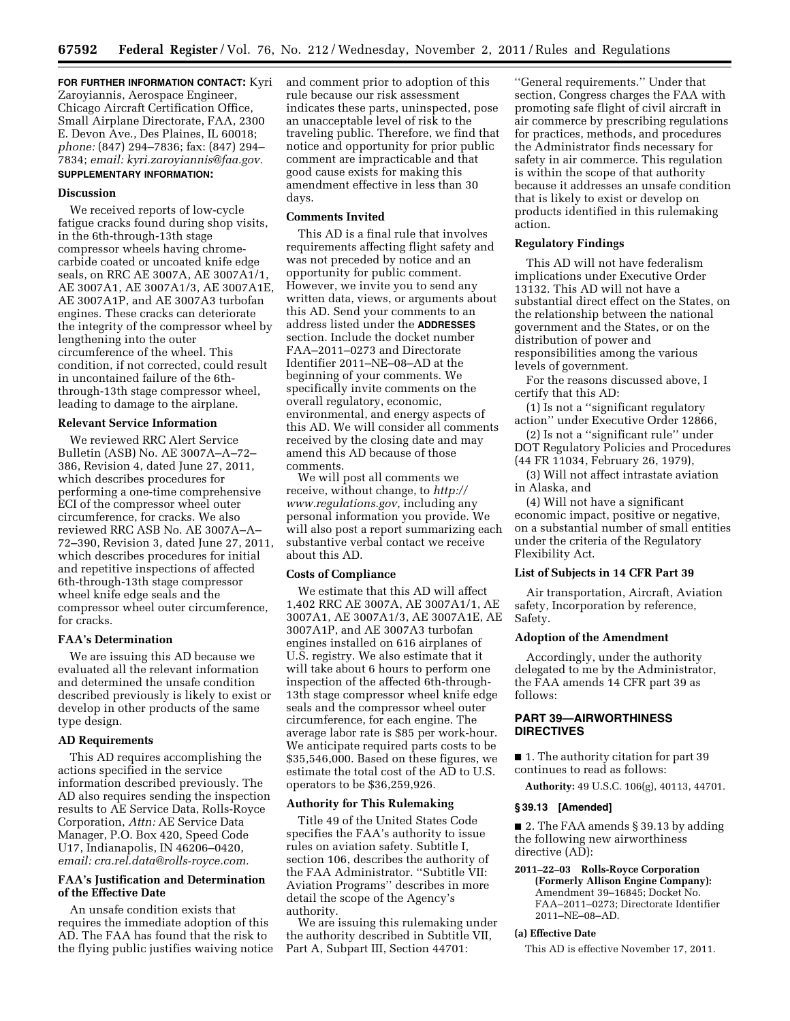**FOR FURTHER INFORMATION CONTACT:** Kyri Zaroyiannis, Aerospace Engineer, Chicago Aircraft Certification Office, Small Airplane Directorate, FAA, 2300 E. Devon Ave., Des Plaines, IL 60018; *phone:* (847) 294–7836; fax: (847) 294– 7834; *email: [kyri.zaroyiannis@faa.gov.](mailto:kyri.zaroyiannis@faa.gov)*  **SUPPLEMENTARY INFORMATION:** 

#### **Discussion**

We received reports of low-cycle fatigue cracks found during shop visits, in the 6th-through-13th stage compressor wheels having chromecarbide coated or uncoated knife edge seals, on RRC AE 3007A, AE 3007A1/1, AE 3007A1, AE 3007A1/3, AE 3007A1E, AE 3007A1P, and AE 3007A3 turbofan engines. These cracks can deteriorate the integrity of the compressor wheel by lengthening into the outer circumference of the wheel. This condition, if not corrected, could result in uncontained failure of the 6ththrough-13th stage compressor wheel, leading to damage to the airplane.

### **Relevant Service Information**

We reviewed RRC Alert Service Bulletin (ASB) No. AE 3007A–A–72– 386, Revision 4, dated June 27, 2011, which describes procedures for performing a one-time comprehensive ECI of the compressor wheel outer circumference, for cracks. We also reviewed RRC ASB No. AE 3007A–A– 72–390, Revision 3, dated June 27, 2011, which describes procedures for initial and repetitive inspections of affected 6th-through-13th stage compressor wheel knife edge seals and the compressor wheel outer circumference, for cracks.

### **FAA's Determination**

We are issuing this AD because we evaluated all the relevant information and determined the unsafe condition described previously is likely to exist or develop in other products of the same type design.

#### **AD Requirements**

This AD requires accomplishing the actions specified in the service information described previously. The AD also requires sending the inspection results to AE Service Data, Rolls-Royce Corporation, *Attn:* AE Service Data Manager, P.O. Box 420, Speed Code U17, Indianapolis, IN 46206–0420, *email: [cra.rel.data@rolls-royce.com.](mailto:cra.rel.data@rolls-royce.com)* 

# **FAA's Justification and Determination of the Effective Date**

An unsafe condition exists that requires the immediate adoption of this AD. The FAA has found that the risk to the flying public justifies waiving notice and comment prior to adoption of this rule because our risk assessment indicates these parts, uninspected, pose an unacceptable level of risk to the traveling public. Therefore, we find that notice and opportunity for prior public comment are impracticable and that good cause exists for making this amendment effective in less than 30 days.

#### **Comments Invited**

This AD is a final rule that involves requirements affecting flight safety and was not preceded by notice and an opportunity for public comment. However, we invite you to send any written data, views, or arguments about this AD. Send your comments to an address listed under the **ADDRESSES** section. Include the docket number FAA–2011–0273 and Directorate Identifier 2011–NE–08–AD at the beginning of your comments. We specifically invite comments on the overall regulatory, economic, environmental, and energy aspects of this AD. We will consider all comments received by the closing date and may amend this AD because of those comments.

We will post all comments we receive, without change, to *[http://](http://www.regulations.gov) [www.regulations.gov,](http://www.regulations.gov)* including any personal information you provide. We will also post a report summarizing each substantive verbal contact we receive about this AD.

#### **Costs of Compliance**

We estimate that this AD will affect 1,402 RRC AE 3007A, AE 3007A1/1, AE 3007A1, AE 3007A1/3, AE 3007A1E, AE 3007A1P, and AE 3007A3 turbofan engines installed on 616 airplanes of U.S. registry. We also estimate that it will take about 6 hours to perform one inspection of the affected 6th-through-13th stage compressor wheel knife edge seals and the compressor wheel outer circumference, for each engine. The average labor rate is \$85 per work-hour. We anticipate required parts costs to be \$35,546,000. Based on these figures, we estimate the total cost of the AD to U.S. operators to be \$36,259,926.

### **Authority for This Rulemaking**

Title 49 of the United States Code specifies the FAA's authority to issue rules on aviation safety. Subtitle I, section 106, describes the authority of the FAA Administrator. ''Subtitle VII: Aviation Programs'' describes in more detail the scope of the Agency's authority.

We are issuing this rulemaking under the authority described in Subtitle VII, Part A, Subpart III, Section 44701:

''General requirements.'' Under that section, Congress charges the FAA with promoting safe flight of civil aircraft in air commerce by prescribing regulations for practices, methods, and procedures the Administrator finds necessary for safety in air commerce. This regulation is within the scope of that authority because it addresses an unsafe condition that is likely to exist or develop on products identified in this rulemaking action.

#### **Regulatory Findings**

This AD will not have federalism implications under Executive Order 13132. This AD will not have a substantial direct effect on the States, on the relationship between the national government and the States, or on the distribution of power and responsibilities among the various levels of government.

For the reasons discussed above, I certify that this AD:

(1) Is not a ''significant regulatory action'' under Executive Order 12866,

(2) Is not a ''significant rule'' under DOT Regulatory Policies and Procedures (44 FR 11034, February 26, 1979),

(3) Will not affect intrastate aviation in Alaska, and

(4) Will not have a significant economic impact, positive or negative, on a substantial number of small entities under the criteria of the Regulatory Flexibility Act.

#### **List of Subjects in 14 CFR Part 39**

Air transportation, Aircraft, Aviation safety, Incorporation by reference, Safety.

### **Adoption of the Amendment**

Accordingly, under the authority delegated to me by the Administrator, the FAA amends 14 CFR part 39 as follows:

# **PART 39—AIRWORTHINESS DIRECTIVES**

■ 1. The authority citation for part 39 continues to read as follows:

**Authority:** 49 U.S.C. 106(g), 40113, 44701.

#### **§ 39.13 [Amended]**

■ 2. The FAA amends § 39.13 by adding the following new airworthiness directive (AD):

# **2011–22–03 Rolls-Royce Corporation**

**(Formerly Allison Engine Company):**  Amendment 39–16845; Docket No. FAA–2011–0273; Directorate Identifier 2011–NE–08–AD.

#### **(a) Effective Date**

This AD is effective November 17, 2011.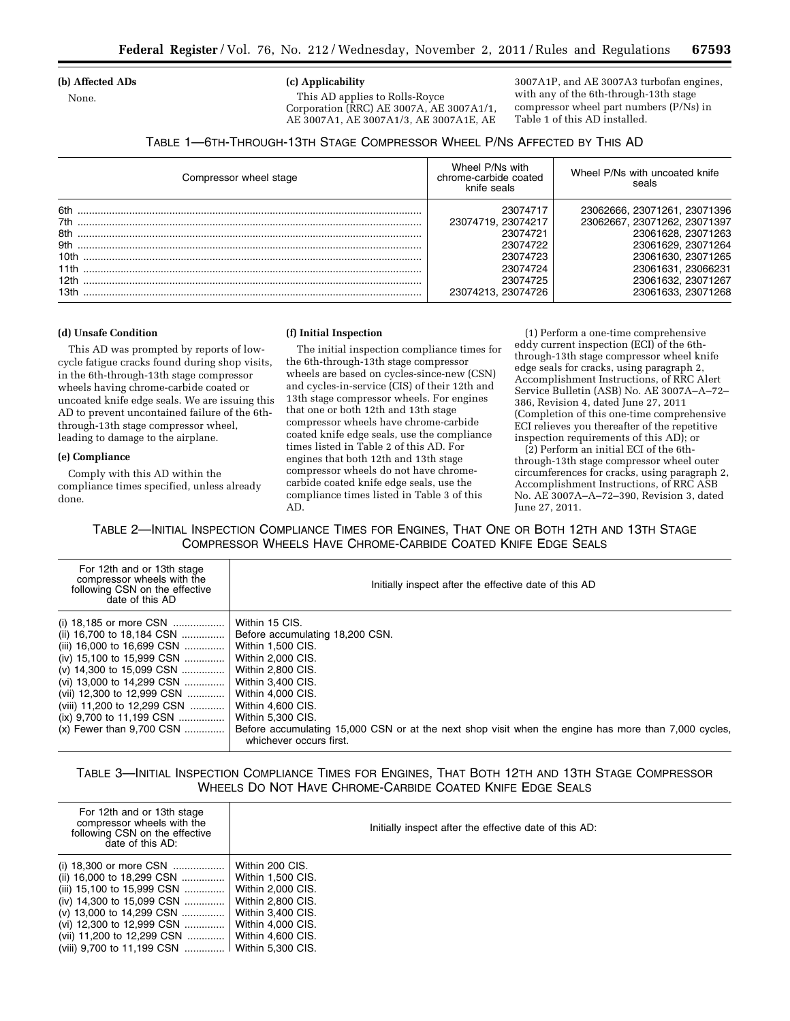### **(b) Affected ADs**

None.

# **(c) Applicability**

This AD applies to Rolls-Royce Corporation (RRC) AE 3007A, AE 3007A1/1, AE 3007A1, AE 3007A1/3, AE 3007A1E, AE

3007A1P, and AE 3007A3 turbofan engines, with any of the 6th-through-13th stage compressor wheel part numbers (P/Ns) in Table 1 of this AD installed.

| TABLE 1—6TH-THROUGH-13TH STAGE COMPRESSOR WHEEL P/NS AFFECTED BY THIS AD |  |
|--------------------------------------------------------------------------|--|
|--------------------------------------------------------------------------|--|

| Compressor wheel stage | Wheel P/Ns with<br>chrome-carbide coated<br>knife seals | Wheel P/Ns with uncoated knife<br>seals |
|------------------------|---------------------------------------------------------|-----------------------------------------|
| 6th                    | 23074717                                                | 23062666, 23071261, 23071396            |
|                        | 23074719, 23074217                                      | 23062667, 23071262, 23071397            |
|                        | 23074721                                                | 23061628, 23071263                      |
|                        | 23074722                                                | 23061629, 23071264                      |
|                        | 23074723                                                | 23061630, 23071265                      |
|                        | 23074724                                                | 23061631, 23066231                      |
|                        | 23074725                                                | 23061632, 23071267                      |
|                        | 23074213, 23074726                                      | 23061633, 23071268                      |

### **(d) Unsafe Condition**

This AD was prompted by reports of lowcycle fatigue cracks found during shop visits, in the 6th-through-13th stage compressor wheels having chrome-carbide coated or uncoated knife edge seals. We are issuing this AD to prevent uncontained failure of the 6ththrough-13th stage compressor wheel, leading to damage to the airplane.

#### **(e) Compliance**

Comply with this AD within the compliance times specified, unless already done.

#### **(f) Initial Inspection**

The initial inspection compliance times for the 6th-through-13th stage compressor wheels are based on cycles-since-new (CSN) and cycles-in-service (CIS) of their 12th and 13th stage compressor wheels. For engines that one or both 12th and 13th stage compressor wheels have chrome-carbide coated knife edge seals, use the compliance times listed in Table 2 of this AD. For engines that both 12th and 13th stage compressor wheels do not have chromecarbide coated knife edge seals, use the compliance times listed in Table 3 of this AD.

(1) Perform a one-time comprehensive eddy current inspection (ECI) of the 6ththrough-13th stage compressor wheel knife edge seals for cracks, using paragraph 2, Accomplishment Instructions, of RRC Alert Service Bulletin (ASB) No. AE 3007A–A–72– 386, Revision 4, dated June 27, 2011 (Completion of this one-time comprehensive ECI relieves you thereafter of the repetitive inspection requirements of this AD); or

(2) Perform an initial ECI of the 6ththrough-13th stage compressor wheel outer circumferences for cracks, using paragraph 2, Accomplishment Instructions, of RRC ASB No. AE 3007A–A–72–390, Revision 3, dated June 27, 2011.

TABLE 2—INITIAL INSPECTION COMPLIANCE TIMES FOR ENGINES, THAT ONE OR BOTH 12TH AND 13TH STAGE COMPRESSOR WHEELS HAVE CHROME-CARBIDE COATED KNIFE EDGE SEALS

| For 12th and or 13th stage<br>compressor wheels with the<br>following CSN on the effective<br>date of this AD | Initially inspect after the effective date of this AD                                                                           |
|---------------------------------------------------------------------------------------------------------------|---------------------------------------------------------------------------------------------------------------------------------|
|                                                                                                               | Within 15 CIS.                                                                                                                  |
| (ii) 16,700 to 18,184 CSN                                                                                     | Before accumulating 18,200 CSN.                                                                                                 |
| (iii) 16,000 to 16,699 CSN                                                                                    | Within 1.500 CIS.                                                                                                               |
| (iv) 15,100 to 15,999 CSN                                                                                     | Within 2,000 CIS.                                                                                                               |
| (v) 14,300 to 15,099 CSN                                                                                      | <b>Within 2,800 CIS.</b>                                                                                                        |
| (vi) 13,000 to 14,299 CSN                                                                                     | Within 3,400 CIS.                                                                                                               |
| (vii) 12,300 to 12,999 CSN                                                                                    | <b>Within 4,000 CIS.</b>                                                                                                        |
| (viii) 11,200 to 12,299 CSN                                                                                   | Within 4.600 CIS.                                                                                                               |
| (ix) $9,700$ to 11,199 CSN                                                                                    | Within 5,300 CIS.                                                                                                               |
| $(x)$ Fewer than 9.700 CSN                                                                                    | Before accumulating 15,000 CSN or at the next shop visit when the engine has more than 7,000 cycles.<br>whichever occurs first. |
|                                                                                                               |                                                                                                                                 |

# TABLE 3—INITIAL INSPECTION COMPLIANCE TIMES FOR ENGINES, THAT BOTH 12TH AND 13TH STAGE COMPRESSOR WHEELS DO NOT HAVE CHROME-CARBIDE COATED KNIFE EDGE SEALS

| For 12th and or 13th stage<br>compressor wheels with the<br>following CSN on the effective<br>date of this AD: | Initially inspect after the effective date of this AD: |
|----------------------------------------------------------------------------------------------------------------|--------------------------------------------------------|
|                                                                                                                | Within 200 CIS.                                        |
| (ii) 16,000 to 18,299 CSN    Within 1,500 CIS.                                                                 |                                                        |
| (iii) 15,100 to 15,999 CSN    Within 2,000 CIS.                                                                |                                                        |
| (iv) 14,300 to 15,099 CSN                                                                                      | Within 2,800 CIS.                                      |
| (v) 13,000 to 14,299 CSN    Within 3,400 CIS.                                                                  |                                                        |
| (vi) 12,300 to 12,999 CSN  Within 4,000 CIS.                                                                   |                                                        |
| (vii) 11,200 to 12,299 CSN    Within 4,600 CIS.                                                                |                                                        |
| (viii) 9,700 to 11,199 CSN  Within 5,300 CIS.                                                                  |                                                        |